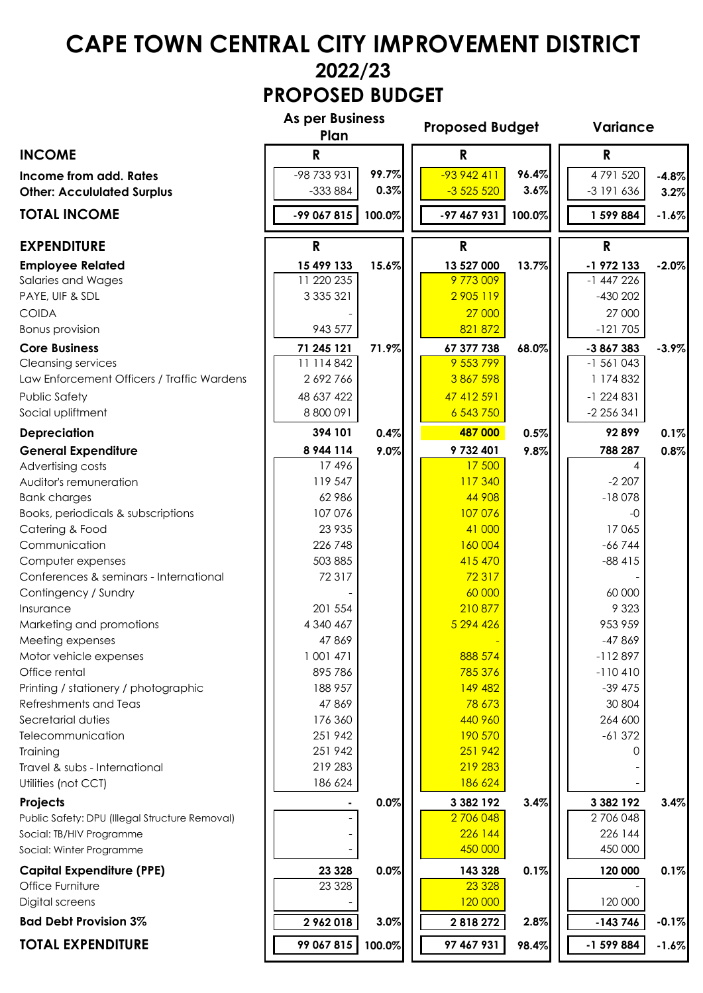## **CAPE TOWN CENTRAL CITY IMPROVEMENT DISTRICT 2022/23 PROPOSED BUDGET**

|                                                                                                                                                                                                                                                                                                                                                                                                                                    | <b>As per Business</b><br>Plan                                                                                                                                      |               | <b>Proposed Budget</b>                                                                                                                                                  |               | <b>Variance</b>                                                                                                                                                     |                 |
|------------------------------------------------------------------------------------------------------------------------------------------------------------------------------------------------------------------------------------------------------------------------------------------------------------------------------------------------------------------------------------------------------------------------------------|---------------------------------------------------------------------------------------------------------------------------------------------------------------------|---------------|-------------------------------------------------------------------------------------------------------------------------------------------------------------------------|---------------|---------------------------------------------------------------------------------------------------------------------------------------------------------------------|-----------------|
| <b>INCOME</b>                                                                                                                                                                                                                                                                                                                                                                                                                      | R                                                                                                                                                                   |               | R                                                                                                                                                                       |               | $\mathbf R$                                                                                                                                                         |                 |
| <b>Income from add. Rates</b><br><b>Other: Accululated Surplus</b>                                                                                                                                                                                                                                                                                                                                                                 | -98 733 931<br>$-333884$                                                                                                                                            | 99.7%<br>0.3% | $-93942411$<br>$-3525520$                                                                                                                                               | 96.4%<br>3.6% | $\overline{4791}$ 520<br>$-3191636$                                                                                                                                 | $-4.8%$<br>3.2% |
| <b>TOTAL INCOME</b>                                                                                                                                                                                                                                                                                                                                                                                                                | -99 067 815                                                                                                                                                         | 100.0%        | -97 467 931                                                                                                                                                             | 100.0%        | 1 599 884                                                                                                                                                           | $-1.6%$         |
| <b>EXPENDITURE</b>                                                                                                                                                                                                                                                                                                                                                                                                                 | $\mathbf R$                                                                                                                                                         |               | $\mathsf{R}$                                                                                                                                                            |               | $\mathbf R$                                                                                                                                                         |                 |
| <b>Employee Related</b><br>Salaries and Wages<br>PAYE, UIF & SDL                                                                                                                                                                                                                                                                                                                                                                   | 15 499 133<br>11 220 235<br>3 3 3 5 3 2 1                                                                                                                           | 15.6%         | 13 527 000<br>9773009<br>2905119                                                                                                                                        | 13.7%         | -1 972 133<br>$-1447226$<br>$-430202$                                                                                                                               | $-2.0%$         |
| <b>COIDA</b>                                                                                                                                                                                                                                                                                                                                                                                                                       |                                                                                                                                                                     |               | 27 000                                                                                                                                                                  |               | 27 000                                                                                                                                                              |                 |
| <b>Bonus provision</b>                                                                                                                                                                                                                                                                                                                                                                                                             | 943 577                                                                                                                                                             |               | 821 872                                                                                                                                                                 |               | $-121705$                                                                                                                                                           |                 |
| <b>Core Business</b><br><b>Cleansing services</b><br>Law Enforcement Officers / Traffic Wardens<br>Public Safety                                                                                                                                                                                                                                                                                                                   | 71 245 121<br>11 114 842<br>2692766<br>48 637 422                                                                                                                   | 71.9%         | 67 377 738<br>9 553 799<br>3867598<br>47 412 591                                                                                                                        | 68.0%         | -3 867 383<br>$-1561043$<br>1 174 832<br>$-1224831$                                                                                                                 | $-3.9%$         |
| Social upliftment                                                                                                                                                                                                                                                                                                                                                                                                                  | 8 800 091                                                                                                                                                           |               | 6 543 750                                                                                                                                                               |               | $-2256341$                                                                                                                                                          |                 |
| <b>Depreciation</b>                                                                                                                                                                                                                                                                                                                                                                                                                | 394 101                                                                                                                                                             | 0.4%          | 487 000                                                                                                                                                                 | 0.5%          | 92899                                                                                                                                                               | 0.1%            |
| <b>General Expenditure</b>                                                                                                                                                                                                                                                                                                                                                                                                         | 8 944 114                                                                                                                                                           | 9.0%          | 9732401                                                                                                                                                                 | 9.8%          | 788 287                                                                                                                                                             | 0.8%            |
| Advertising costs<br>Auditor's remuneration<br><b>Bank charges</b><br>Books, periodicals & subscriptions<br>Catering & Food<br>Communication<br>Computer expenses<br>Conferences & seminars - International<br>Contingency / Sundry<br>Insurance<br>Marketing and promotions<br>Meeting expenses<br>Motor vehicle expenses<br>Office rental<br>Printing / stationery / photographic<br>Refreshments and Teas<br>Secretarial duties | 17496<br>119 547<br>62986<br>107 076<br>23 9 35<br>226 748<br>503 885<br>72317<br>201 554<br>4 340 467<br>47869<br>001 471<br>895786<br>188 957<br>47869<br>176 360 |               | 17 500<br>117 340<br>44 908<br>107 076<br>41 000<br>160 004<br>415 470<br>72317<br>60 000<br>210877<br>5 294 4 26<br>888 574<br>785 376<br>149 482<br>78 673<br>440 960 |               | $-2207$<br>$-18078$<br>$-0$<br>17065<br>$-66744$<br>$-88415$<br>60 000<br>9 3 2 3<br>953 959<br>$-47869$<br>$-112897$<br>$-110410$<br>$-39475$<br>30 804<br>264 600 |                 |
| Telecommunication<br>Training<br>Travel & subs - International<br>Utilities (not CCT)                                                                                                                                                                                                                                                                                                                                              | 251942<br>251942<br>219 283<br>186 624                                                                                                                              |               | 190 570<br>251 942<br>219 283<br>186 624                                                                                                                                |               | $-61372$                                                                                                                                                            |                 |
| Projects<br>Public Safety: DPU (Illegal Structure Removal)<br>Social: TB/HIV Programme<br>Social: Winter Programme                                                                                                                                                                                                                                                                                                                 |                                                                                                                                                                     | 0.0%          | 3 3 8 2 1 9 2<br>2706048<br>226 144<br>450 000                                                                                                                          | 3.4%          | 3 3 8 2 1 9 2<br>2706048<br>226 144<br>450 000                                                                                                                      | 3.4%            |
| <b>Capital Expenditure (PPE)</b><br>Office Furniture<br>Digital screens                                                                                                                                                                                                                                                                                                                                                            | 23 3 28<br>23 3 28                                                                                                                                                  | 0.0%          | 143 328<br>23 3 28<br>120 000                                                                                                                                           | 0.1%          | 120 000<br>120 000                                                                                                                                                  | 0.1%            |
| <b>Bad Debt Provision 3%</b>                                                                                                                                                                                                                                                                                                                                                                                                       | 2962018                                                                                                                                                             | 3.0%          | 2818272                                                                                                                                                                 | 2.8%          | -143 746                                                                                                                                                            | $-0.1%$         |
| <b>TOTAL EXPENDITURE</b>                                                                                                                                                                                                                                                                                                                                                                                                           | 99 067 815                                                                                                                                                          | 100.0%        | 97 467 931                                                                                                                                                              | 98.4%         | -1 599 884                                                                                                                                                          | $-1.6%$         |